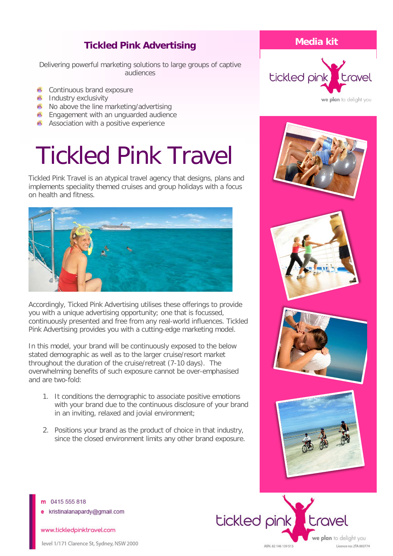## **Media kit Tickled Pink Advertising**

Delivering powerful marketing solutions to large groups of captive audiences

- Continuous brand exposure
- **S** Industry exclusivity
- $\bullet$  No above the line marketing/advertising
- **Engagement with an unguarded audience**
- **Association with a positive experience**

# Tickled Pink Travel

Tickled Pink Travel is an atypical travel agency that designs, plans and implements speciality themed cruises and group holidays with a focus on health and fitness.



Accordingly, Ticked Pink Advertising utilises these offerings to provide you with a unique advertising opportunity; one that is focussed, continuously presented and free from any real-world influences. Tickled Pink Advertising provides you with a cutting-edge marketing model.

In this model, your brand will be continuously exposed to the below stated demographic as well as to the larger cruise/resort market throughout the duration of the cruise/retreat (7-10 days). The overwhelming benefits of such exposure cannot be over-emphasised and are two-fold:

- 1. It conditions the demographic to associate positive emotions with your brand due to the continuous disclosure of your brand in an inviting, relaxed and jovial environment;
- 2. Positions your brand as the product of choice in that industry, since the closed environment limits any other brand exposure.







#### m 0415 555 818

kristinalanapardv@gmail.com

www.tickledpinktravel.com

level 1/171 Clarence St, Sydney, NSW 2000

ABN, 82 146 139 513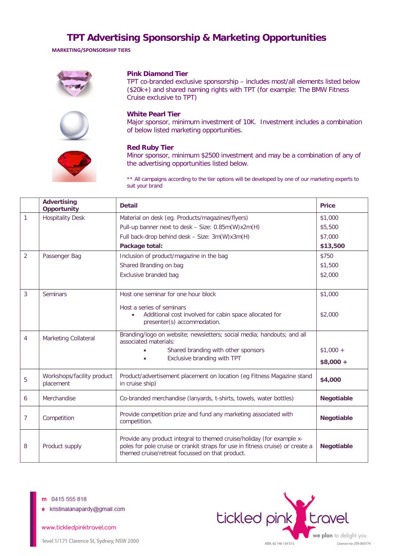## **TPT Advertising Sponsorship & Marketing Opportunities**

**MARKETING/SPONSORSHIP TIERS**







TPT co-branded exclusive sponsorship – includes most/all elements listed below (\$20k+) and shared naming rights with TPT (for example: The BMW Fitness Cruise exclusive to TPT)

### **White Pearl Tier**

Major sponsor, minimum investment of 10K. Investment includes a combination of below listed marketing opportunities.

#### **Red Ruby Tier**

Minor sponsor, minimum \$2500 investment and may be a combination of any of the advertising opportunities listed below.

\*\* All campaigns according to the tier options will be developed by one of our marketing experts to suit your brand

|                | <b>Advertising</b><br><b>Opportunity</b> | <b>Detail</b>                                                                                                                                                                                              | <b>Price</b>      |
|----------------|------------------------------------------|------------------------------------------------------------------------------------------------------------------------------------------------------------------------------------------------------------|-------------------|
| $\overline{1}$ | <b>Hospitality Desk</b>                  | Material on desk (eg. Products/magazines/flyers)                                                                                                                                                           | \$1,000           |
|                |                                          | Pull-up banner next to desk - Size: 0.85m(W)x2m(H)                                                                                                                                                         | \$5,500           |
|                |                                          | Full back-drop behind desk - Size: 3m(W)x3m(H)                                                                                                                                                             | \$7,000           |
|                |                                          | Package total:                                                                                                                                                                                             | \$13,500          |
| $\overline{2}$ | Passenger Bag                            | Inclusion of product/magazine in the bag                                                                                                                                                                   | \$750             |
|                |                                          | Shared Branding on bag                                                                                                                                                                                     | \$1,500           |
|                |                                          | Exclusive branded bag                                                                                                                                                                                      | \$2,000           |
|                |                                          |                                                                                                                                                                                                            |                   |
| 3              | <b>Seminars</b>                          | Host one seminar for one hour block                                                                                                                                                                        | \$1,000           |
|                |                                          | Host a series of seminars<br>Additional cost involved for cabin space allocated for<br>$\bullet$<br>presenter(s) accommodation.                                                                            | \$2,000           |
| 4              | Marketing Collateral                     | Branding/logo on website; newsletters; social media; handouts; and all<br>associated materials:                                                                                                            |                   |
|                |                                          | Shared branding with other sponsors                                                                                                                                                                        | $$1.000 +$        |
|                |                                          | Exclusive branding with TPT                                                                                                                                                                                | $$8,000 +$        |
| 5              | Workshops/facility product<br>placement  | Product/advertisement placement on location (eg Fitness Magazine stand<br>in cruise ship)                                                                                                                  | \$4,000           |
| 6              | Merchandise                              | Co-branded merchandise (lanyards, t-shirts, towels, water bottles)                                                                                                                                         | <b>Negotiable</b> |
| $\overline{7}$ | Competition                              | Provide competition prize and fund any marketing associated with<br>competition.                                                                                                                           | <b>Negotiable</b> |
| 8              | Product supply                           | Provide any product integral to themed cruise/holiday (for example x-<br>poles for pole cruise or crankit straps for use in fitness cruise) or create a<br>themed cruise/retreat focussed on that product. | <b>Negotiable</b> |

m 0415 555 818

e kristinalanapardy@gmail.com

www.tickledpinktravel.com



level 1/171 Clarence St, Sydney, NSW 2000